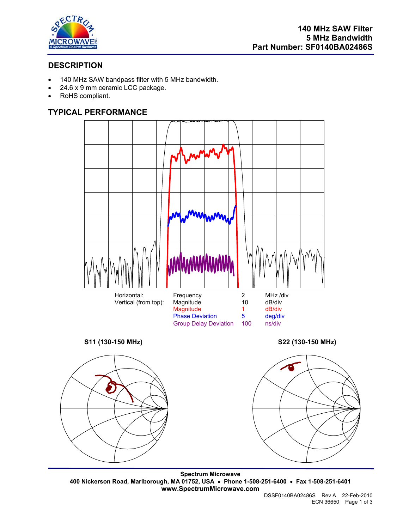

# **DESCRIPTION**

- 140 MHz SAW bandpass filter with 5 MHz bandwidth.
- 24.6 x 9 mm ceramic LCC package.
- RoHS compliant.

# **TYPICAL PERFORMANCE**



**Spectrum Microwave 400 Nickerson Road, Marlborough, MA 01752, USA** • **Phone 1-508-251-6400** • **Fax 1-508-251-6401 www.SpectrumMicrowave.com**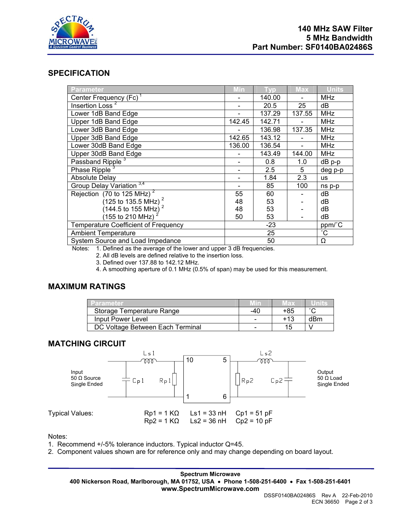

# **SPECIFICATION**

| Parameter                                   | Min    | l yp.  | <b>Max</b> | <b>Units</b>    |
|---------------------------------------------|--------|--------|------------|-----------------|
| Center Frequency (Fc) <sup>1</sup>          |        | 140.00 |            | <b>MHz</b>      |
| Insertion Loss <sup>2</sup>                 |        | 20.5   | 25         | dB              |
| Lower 1dB Band Edge                         |        | 137.29 | 137.55     | <b>MHz</b>      |
| Upper 1dB Band Edge                         | 142.45 | 142.71 |            | <b>MHz</b>      |
| Lower 3dB Band Edge                         |        | 136.98 | 137.35     | <b>MHz</b>      |
| Upper 3dB Band Edge                         | 142.65 | 143.12 |            | <b>MHz</b>      |
| Lower 30dB Band Edge                        | 136.00 | 136.54 |            | <b>MHz</b>      |
| Upper 30dB Band Edge                        |        | 143.49 | 144.00     | <b>MHz</b>      |
| Passband Ripple <sup>3</sup>                |        | 0.8    | 1.0        | dB p-p          |
| Phase Ripple <sup>3</sup>                   |        | 2.5    | 5          | deg p-p         |
| <b>Absolute Delay</b>                       |        | 1.84   | 2.3        | <b>us</b>       |
| Group Delay Variation <sup>3,4</sup>        |        | 85     | 100        | ns p-p          |
| Rejection (70 to 125 MHz) <sup>2</sup>      | 55     | 60     |            | dB              |
| $(125 \text{ to } 135.5 \text{ MHz})^2$     | 48     | 53     |            | dB              |
| $(144.5 \text{ to } 155 \text{ MHz})$       | 48     | 53     |            | dB              |
| (155 to 210 MHz)                            | 50     | 53     |            | dB              |
| <b>Temperature Coefficient of Frequency</b> | $-23$  |        |            | ppm/°C          |
| <b>Ambient Temperature</b>                  | 25     |        |            | $\rm ^{\circ}C$ |
| System Source and Load Impedance            | 50     |        |            | Ω               |

Notes: 1. Defined as the average of the lower and upper 3 dB frequencies.

2. All dB levels are defined relative to the insertion loss.

3. Defined over 137.88 to 142.12 MHz.

4. A smoothing aperture of 0.1 MHz (0.5% of span) may be used for this measurement.

# **MAXIMUM RATINGS**

| <b>Parameter</b>                 |     | чах            |     |
|----------------------------------|-----|----------------|-----|
| Storage Temperature Range        | -40 | +85            |     |
| Input Power Level                |     | +13            | dBm |
| DC Voltage Between Each Terminal |     | 1 <sub>n</sub> |     |

## **MATCHING CIRCUIT**



Notes:

1. Recommend +/-5% tolerance inductors. Typical inductor Q=45.

2. Component values shown are for reference only and may change depending on board layout.

**Spectrum Microwave 400 Nickerson Road, Marlborough, MA 01752, USA** • **Phone 1-508-251-6400** • **Fax 1-508-251-6401 www.SpectrumMicrowave.com**